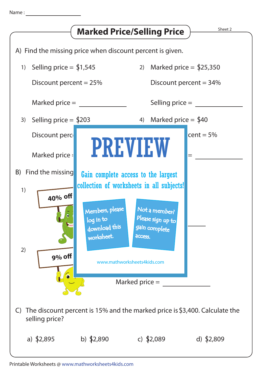